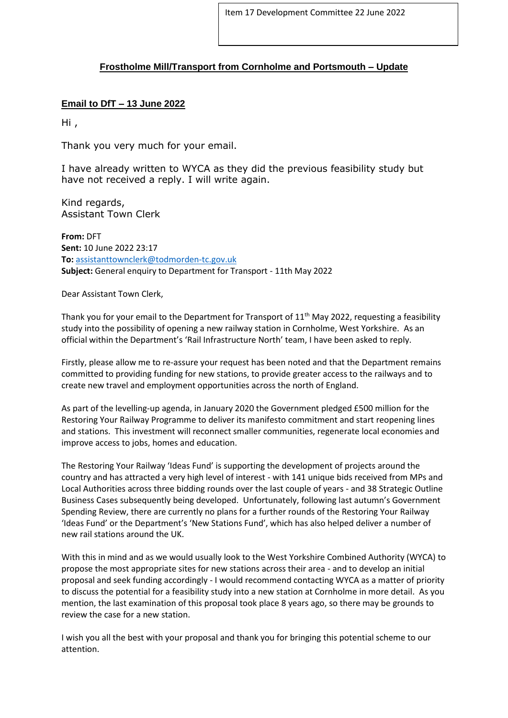## **Frostholme Mill/Transport from Cornholme and Portsmouth – Update**

## **Email to DfT – 13 June 2022**

Hi ,

Thank you very much for your email.

I have already written to WYCA as they did the previous feasibility study but have not received a reply. I will write again.

Kind regards, Assistant Town Clerk

**From:** DFT **Sent:** 10 June 2022 23:17 **To:** [assistanttownclerk@todmorden-tc.gov.uk](mailto:assistanttownclerk@todmorden-tc.gov.uk) **Subject:** General enquiry to Department for Transport - 11th May 2022

Dear Assistant Town Clerk,

Thank you for your email to the Department for Transport of  $11<sup>th</sup>$  May 2022, requesting a feasibility study into the possibility of opening a new railway station in Cornholme, West Yorkshire. As an official within the Department's 'Rail Infrastructure North' team, I have been asked to reply.

Firstly, please allow me to re-assure your request has been noted and that the Department remains committed to providing funding for new stations, to provide greater access to the railways and to create new travel and employment opportunities across the north of England.

As part of the levelling-up agenda, in January 2020 the Government pledged £500 million for the Restoring Your Railway Programme to deliver its manifesto commitment and start reopening lines and stations. This investment will reconnect smaller communities, regenerate local economies and improve access to jobs, homes and education.

The Restoring Your Railway 'Ideas Fund' is supporting the development of projects around the country and has attracted a very high level of interest - with 141 unique bids received from MPs and Local Authorities across three bidding rounds over the last couple of years - and 38 Strategic Outline Business Cases subsequently being developed. Unfortunately, following last autumn's Government Spending Review, there are currently no plans for a further rounds of the Restoring Your Railway 'Ideas Fund' or the Department's 'New Stations Fund', which has also helped deliver a number of new rail stations around the UK.

With this in mind and as we would usually look to the West Yorkshire Combined Authority (WYCA) to propose the most appropriate sites for new stations across their area - and to develop an initial proposal and seek funding accordingly - I would recommend contacting WYCA as a matter of priority to discuss the potential for a feasibility study into a new station at Cornholme in more detail. As you mention, the last examination of this proposal took place 8 years ago, so there may be grounds to review the case for a new station.

I wish you all the best with your proposal and thank you for bringing this potential scheme to our attention.